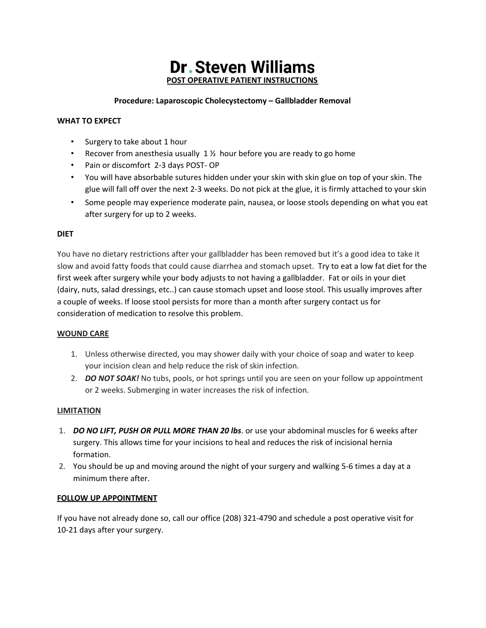# **Dr. Steven Williams POST OPERATIVE PATIENT INSTRUCTIONS**

## **Procedure: Laparoscopic Cholecystectomy – Gallbladder Removal**

## **WHAT TO EXPECT**

- Surgery to take about 1 hour
- Recover from anesthesia usually  $1\frac{1}{2}$  hour before you are ready to go home
- Pain or discomfort 2-3 days POST- OP
- You will have absorbable sutures hidden under your skin with skin glue on top of your skin. The glue will fall off over the next 2-3 weeks. Do not pick at the glue, it is firmly attached to your skin
- Some people may experience moderate pain, nausea, or loose stools depending on what you eat after surgery for up to 2 weeks.

#### **DIET**

You have no dietary restrictions after your gallbladder has been removed but it's a good idea to take it slow and avoid fatty foods that could cause diarrhea and stomach upset. Try to eat a low fat diet for the first week after surgery while your body adjusts to not having a gallbladder. Fat or oils in your diet (dairy, nuts, salad dressings, etc..) can cause stomach upset and loose stool. This usually improves after a couple of weeks. If loose stool persists for more than a month after surgery contact us for consideration of medication to resolve this problem.

#### **WOUND CARE**

- 1. Unless otherwise directed, you may shower daily with your choice of soap and water to keep your incision clean and help reduce the risk of skin infection.
- 2. *DO NOT SOAK!* No tubs, pools, or hot springs until you are seen on your follow up appointment or 2 weeks. Submerging in water increases the risk of infection.

#### **LIMITATION**

- 1. *DO NO LIFT, PUSH OR PULL MORE THAN 20 lbs*. or use your abdominal muscles for 6 weeks after surgery. This allows time for your incisions to heal and reduces the risk of incisional hernia formation.
- 2. You should be up and moving around the night of your surgery and walking 5-6 times a day at a minimum there after.

#### **FOLLOW UP APPOINTMENT**

If you have not already done so, call our office (208) 321-4790 and schedule a post operative visit for 10-21 days after your surgery.